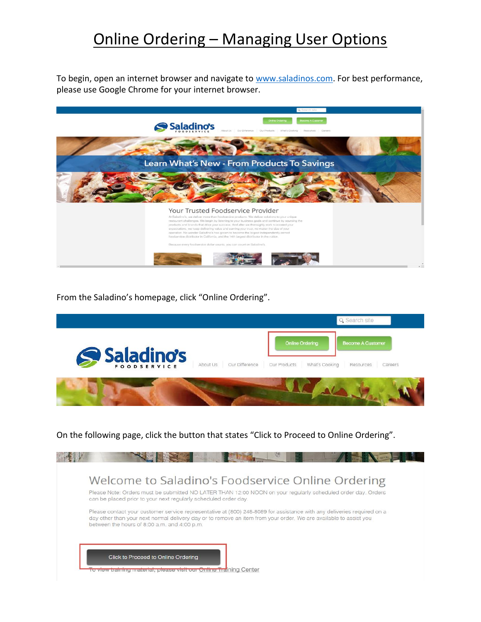## Online Ordering – Managing User Options

To begin, open an internet browser and navigate to [www.saladinos.com.](http://www.saladinos.com/) For best performance, please use Google Chrome for your internet browser.



From the Saladino's homepage, click "Online Ordering".

|              |          |                |              |                                          | Q. Search site                               |         |
|--------------|----------|----------------|--------------|------------------------------------------|----------------------------------------------|---------|
| S Saladino's | About Us | Our Difference | Our Products | <b>Online Ordering</b><br>What's Cooking | <b>Become A Customer</b><br><b>Resources</b> | Careers |
|              |          |                |              |                                          |                                              |         |

On the following page, click the button that states "Click to Proceed to Online Ordering".

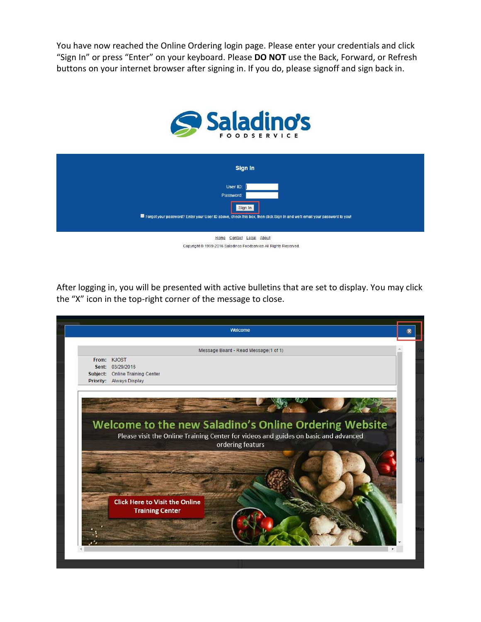You have now reached the Online Ordering login page. Please enter your credentials and click "Sign In" or press "Enter" on your keyboard. Please **DO NOT** use the Back, Forward, or Refresh buttons on your internet browser after signing in. If you do, please signoff and sign back in.



| Sign In                                                                                                                  |
|--------------------------------------------------------------------------------------------------------------------------|
| User ID:<br>Password:<br>Sign In                                                                                         |
| Forgot your password? Enter your User ID above, check this box, then click Sign In and we'll email your password to you! |
| Home Contact Legal About<br>Copyright @ 1999-2016 Saladinos Foodservice All Rights Reserved.                             |

After logging in, you will be presented with active bulletins that are set to display. You may click the "X" icon in the top-right corner of the message to close.

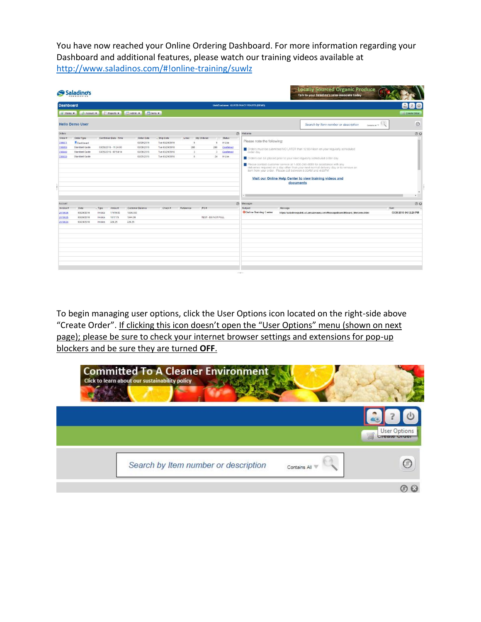You have now reached your Online Ordering Dashboard. For more information regarding your Dashboard and additional features, please watch our training videos available at <http://www.saladinos.com/#!online-training/suwlz>

|                    |                                  |                    |                       |                          |                                  |                |                    |           |                                                                        | <b>Locally Sourced Organic Produce</b><br>Talk to your Saladino's sales associate today |                        |
|--------------------|----------------------------------|--------------------|-----------------------|--------------------------|----------------------------------|----------------|--------------------|-----------|------------------------------------------------------------------------|-----------------------------------------------------------------------------------------|------------------------|
| <b>Dashboard</b>   |                                  |                    |                       |                          |                                  |                |                    |           | <b>Unit/Customer: KURTS FANCY FEASTS (DEMO)</b>                        |                                                                                         | $\circ$<br>AX.         |
| Status v           |                                  |                    |                       |                          |                                  |                |                    |           |                                                                        |                                                                                         | Create Order           |
|                    | <b>Hello Demo User</b>           |                    |                       |                          |                                  |                |                    |           |                                                                        | Search by Item number or description<br>Contains At T.                                  | $\odot$                |
| Orders             |                                  |                    |                       |                          |                                  |                |                    |           | $\circ$<br>Welcome                                                     |                                                                                         | $\circ$                |
| Order#             | Order Type                       |                    | Confirmed Date - Time | Order Date               | - Ship Date                      | Lines          | On Ordered         | Status    |                                                                        |                                                                                         |                        |
| 706071             | Dashboard                        |                    |                       | 03/29/2016               | Tue 03/29/2016                   | 5              | 5                  | In Use    | Please note the following:                                             |                                                                                         |                        |
| 706059             | Standard Guide                   |                    | 03/28/2016 - 11:24:00 | 03/28/2016               | Tue 03/29/2016                   | 286            | 286                | Confirmed |                                                                        | Orders must be submitted NO LATER than 12:00-Noon on your regularly scheduled           |                        |
| 706049<br>706039   | Standard Guide<br>Standard Guide |                    | 03/28/2016 - 07:54:14 | 03/28/2016<br>03/25/2016 | Tue 03/29/2016<br>Tue 03/29/2016 | $\bar{3}$<br>8 | -3<br>24           | Confirmed | order day                                                              |                                                                                         |                        |
|                    |                                  |                    |                       |                          |                                  |                |                    | In Use    | Criters can be placed prior to your next regularly scheduled order day |                                                                                         |                        |
|                    |                                  |                    |                       |                          |                                  |                |                    |           | $\sim$                                                                 | Visit our Online Help Center to view training videos and<br>documents                   |                        |
| Account            |                                  |                    |                       |                          |                                  |                |                    | $\circ$   | Messages                                                               |                                                                                         | 00                     |
| Invoice #          | Date                             | $-$ Type           | Amount                | Customer Balance         | $Check$ #                        | Raference      | PO#                |           | Subject<br>Message                                                     |                                                                                         | Sent                   |
| 2610636            | 03/29/2016                       | Invoice            | 17419.83              | 19363.83                 |                                  |                |                    |           | <b>Confine Training Center</b>                                         | https://saladinospublic.s3.amazonaws.com/MessageBoard/Mboard_Welcome.html               | 03/29/2016 04:12:20 PM |
| 2610635<br>2610634 | 03/26/2016<br>03/24/2016         | Invoice<br>Invoice | 1617.75<br>326.25     | 1944.00<br>326.25        |                                  |                | TEST - DO NOT PULL |           |                                                                        |                                                                                         |                        |
|                    |                                  |                    |                       |                          |                                  |                |                    |           |                                                                        |                                                                                         |                        |

To begin managing user options, click the User Options icon located on the right-side above "Create Order". If clicking this icon doesn't open the "User Options" menu (shown on next page); please be sure to check your internet browser settings and extensions for pop-up blockers and be sure they are turned **OFF**.

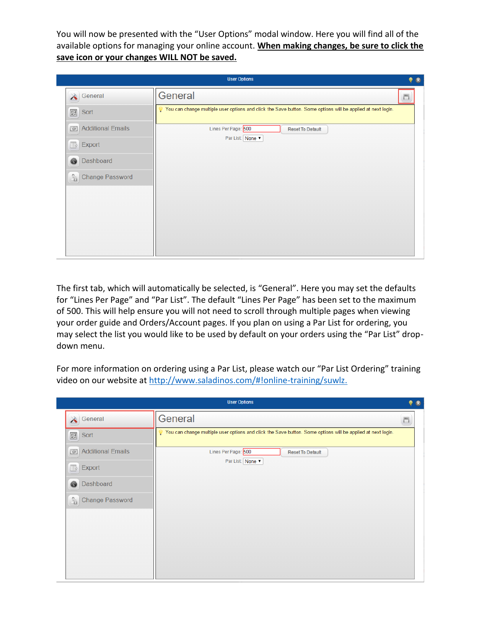You will now be presented with the "User Options" modal window. Here you will find all of the available options for managing your online account. **When making changes, be sure to click the save icon or your changes WILL NOT be saved.** 

|                                         | <b>User Options</b>                                                                                         |  |
|-----------------------------------------|-------------------------------------------------------------------------------------------------------------|--|
| General                                 | General                                                                                                     |  |
| $\frac{1}{2}$<br>Sort                   | You can change multiple user options and click the Save button. Some options will be applied at next login. |  |
| <b>Additional Emails</b><br>100         | Lines Per Page: 500<br><b>Reset To Default</b>                                                              |  |
| Export<br>$\mathbb{B}$                  | Par List: None                                                                                              |  |
| Dashboard<br>Ø                          |                                                                                                             |  |
| <b>Change Password</b><br>$\sqrt[6]{a}$ |                                                                                                             |  |
|                                         |                                                                                                             |  |
|                                         |                                                                                                             |  |
|                                         |                                                                                                             |  |
|                                         |                                                                                                             |  |
|                                         |                                                                                                             |  |

The first tab, which will automatically be selected, is "General". Here you may set the defaults for "Lines Per Page" and "Par List". The default "Lines Per Page" has been set to the maximum of 500. This will help ensure you will not need to scroll through multiple pages when viewing your order guide and Orders/Account pages. If you plan on using a Par List for ordering, you may select the list you would like to be used by default on your orders using the "Par List" dropdown menu.

For more information on ordering using a Par List, please watch our "Par List Ordering" training video on our website at [http://www.saladinos.com/#!online-training/suwlz.](http://www.saladinos.com/#!online-training/suwlz)

|                                         | <b>User Options</b>                                                                                         |        | $\bullet$ |
|-----------------------------------------|-------------------------------------------------------------------------------------------------------------|--------|-----------|
| General<br>$\blacktriangle$             | General                                                                                                     | $\Box$ |           |
| $\frac{1}{2}$<br>Sort                   | You can change multiple user options and click the Save button. Some options will be applied at next login. |        |           |
| <b>Additional Emails</b><br><b>DO</b>   | Lines Per Page: 500<br><b>Reset To Default</b>                                                              |        |           |
| Export<br>$\mathbb{B}$                  | Par List: None                                                                                              |        |           |
| Dashboard<br>◉                          |                                                                                                             |        |           |
| <b>Change Password</b><br>$\sqrt[6]{1}$ |                                                                                                             |        |           |
|                                         |                                                                                                             |        |           |
|                                         |                                                                                                             |        |           |
|                                         |                                                                                                             |        |           |
|                                         |                                                                                                             |        |           |
|                                         |                                                                                                             |        |           |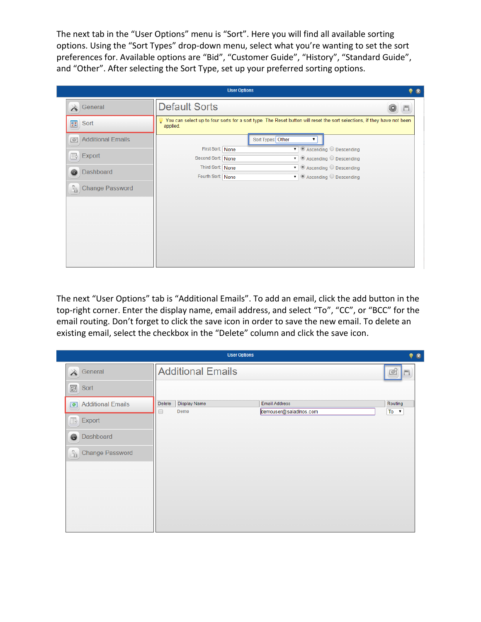The next tab in the "User Options" menu is "Sort". Here you will find all available sorting options. Using the "Sort Types" drop-down menu, select what you're wanting to set the sort preferences for. Available options are "Bid", "Customer Guide", "History", "Standard Guide", and "Other". After selecting the Sort Type, set up your preferred sorting options.

|                                         |                                       | <b>User Options</b>                                                                                                     | - 18   |
|-----------------------------------------|---------------------------------------|-------------------------------------------------------------------------------------------------------------------------|--------|
| General<br>À                            | <b>Default Sorts</b>                  |                                                                                                                         | $\Box$ |
| 鲳<br>Sort                               | applied.                              | You can select up to four sorts for a sort type. The Reset button will reset the sort selections, if they have not been |        |
| <b>Additional Emails</b><br><b>\@</b>   |                                       | Sort Types: Other<br>▼                                                                                                  |        |
| $\mathbb B$<br>Export                   | First Sort: None<br>Second Sort: None | $\bullet$ $\bullet$ Ascending $\circ$ Descending<br>$\bullet$ $\bullet$ Ascending $\circ$ Descending                    |        |
| Dashboard<br>ø                          | Third Sort: None<br>Fourth Sort: None | $\bullet$ $\bullet$ Ascending $\circ$ Descending<br>$\bullet$ $\bullet$ Ascending $\circ$ Descending                    |        |
| $\frac{1}{2}$<br><b>Change Password</b> |                                       |                                                                                                                         |        |
|                                         |                                       |                                                                                                                         |        |
|                                         |                                       |                                                                                                                         |        |
|                                         |                                       |                                                                                                                         |        |
|                                         |                                       |                                                                                                                         |        |
|                                         |                                       |                                                                                                                         |        |

The next "User Options" tab is "Additional Emails". To add an email, click the add button in the top-right corner. Enter the display name, email address, and select "To", "CC", or "BCC" for the email routing. Don't forget to click the save icon in order to save the new email. To delete an existing email, select the checkbox in the "Delete" column and click the save icon.

|                                         |                               | <b>User Options</b>    | 98                  |
|-----------------------------------------|-------------------------------|------------------------|---------------------|
| $\mathbb{X}$<br>General                 | <b>Additional Emails</b>      |                        | $\circledcirc$<br>F |
| $\frac{2}{2}$<br>Sort                   |                               |                        |                     |
| <b>Additional Emails</b><br>$\circ$     | <b>Display Name</b><br>Delete | <b>Email Address</b>   | Routing             |
| $\mathbb B$<br>Export                   | $\Box$<br>Demo                | demouser@saladinos.com | $To - v$            |
| Dashboard<br>◉                          |                               |                        |                     |
| $\sqrt[6]{a}$<br><b>Change Password</b> |                               |                        |                     |
|                                         |                               |                        |                     |
|                                         |                               |                        |                     |
|                                         |                               |                        |                     |
|                                         |                               |                        |                     |
|                                         |                               |                        |                     |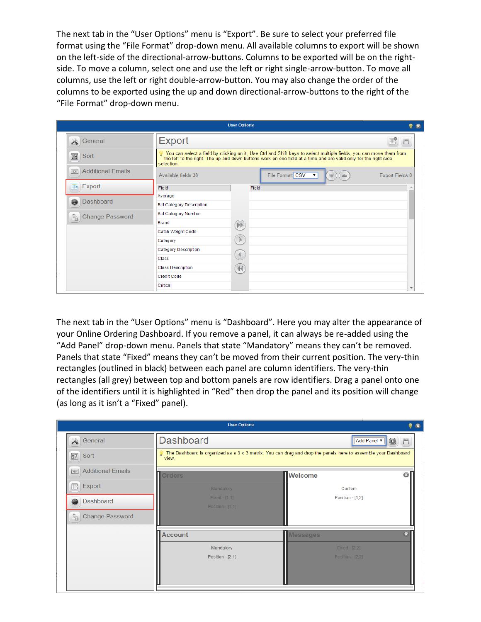The next tab in the "User Options" menu is "Export". Be sure to select your preferred file format using the "File Format" drop-down menu. All available columns to export will be shown on the left-side of the directional-arrow-buttons. Columns to be exported will be on the rightside. To move a column, select one and use the left or right single-arrow-button. To move all columns, use the left or right double-arrow-button. You may also change the order of the columns to be exported using the up and down directional-arrow-buttons to the right of the "File Format" drop-down menu.

|                                       |                                 | <b>User Options</b>                                                                                                                                                                                                                                                                                                                                 | $\mathbb{R}$             |
|---------------------------------------|---------------------------------|-----------------------------------------------------------------------------------------------------------------------------------------------------------------------------------------------------------------------------------------------------------------------------------------------------------------------------------------------------|--------------------------|
| $\mathbb{X}$<br>General               | <b>Export</b>                   |                                                                                                                                                                                                                                                                                                                                                     |                          |
| 露<br>Sort                             | selection.                      | You can select a field by clicking on it, Use Ctrl and Shift keys to select multiple fields, you can move them from<br>the left to the right. The up and down buttons work on one field at a time and are valid only for the right-side                                                                                                             |                          |
| <b>Additional Emails</b><br><b>DO</b> | Available fields: 38            | File Format: CSV<br>▼<br>$\quad \  \  \, \overline{\quad \, }$                                                                                                                                                                                                                                                                                      | Export Fields:0          |
| Export<br>R                           | Field                           | Field                                                                                                                                                                                                                                                                                                                                               |                          |
|                                       | Average                         |                                                                                                                                                                                                                                                                                                                                                     |                          |
| Dashboard<br>ø                        | <b>Bid Category Description</b> |                                                                                                                                                                                                                                                                                                                                                     |                          |
| Y<br><b>Change Password</b>           | <b>Bid Category Number</b>      |                                                                                                                                                                                                                                                                                                                                                     |                          |
|                                       | <b>Brand</b>                    | $\mathbb{D} \mathbb{D}$                                                                                                                                                                                                                                                                                                                             |                          |
|                                       | <b>Catch Weight Code</b>        |                                                                                                                                                                                                                                                                                                                                                     |                          |
|                                       | Category                        | $\begin{picture}(220,20) \put(0,0){\line(1,0){10}} \put(15,0){\line(1,0){10}} \put(15,0){\line(1,0){10}} \put(15,0){\line(1,0){10}} \put(15,0){\line(1,0){10}} \put(15,0){\line(1,0){10}} \put(15,0){\line(1,0){10}} \put(15,0){\line(1,0){10}} \put(15,0){\line(1,0){10}} \put(15,0){\line(1,0){10}} \put(15,0){\line(1,0){10}} \put(15,0){\line($ |                          |
|                                       | <b>Category Description</b>     |                                                                                                                                                                                                                                                                                                                                                     |                          |
|                                       | Class                           | $\blacktriangleleft$                                                                                                                                                                                                                                                                                                                                |                          |
|                                       | <b>Class Description</b>        | $\blacktriangleleft\blacktriangleleft$                                                                                                                                                                                                                                                                                                              |                          |
|                                       | <b>Credit Code</b>              |                                                                                                                                                                                                                                                                                                                                                     |                          |
|                                       | Critical                        |                                                                                                                                                                                                                                                                                                                                                     | $\overline{\phantom{a}}$ |

The next tab in the "User Options" menu is "Dashboard". Here you may alter the appearance of your Online Ordering Dashboard. If you remove a panel, it can always be re-added using the "Add Panel" drop-down menu. Panels that state "Mandatory" means they can't be removed. Panels that state "Fixed" means they can't be moved from their current position. The very-thin rectangles (outlined in black) between each panel are column identifiers. The very-thin rectangles (all grey) between top and bottom panels are row identifiers. Drag a panel onto one of the identifiers until it is highlighted in "Red" then drop the panel and its position will change (as long as it isn't a "Fixed" panel).

|                                        | <b>User Options</b> |                                                                                                                | $P$ $8$            |
|----------------------------------------|---------------------|----------------------------------------------------------------------------------------------------------------|--------------------|
| Seneral                                | <b>Dashboard</b>    | Add Panel ▼                                                                                                    | 0<br>$\Box$        |
| 图)<br>Sort                             | view.               | The Dashboard is organized as a 3 x 3 matrix. You can drag and drop the panels here to assemble your Dashboard |                    |
| <b>Additional Emails</b><br><b>DO</b>  | <b>Orders</b>       | <b>Welcome</b>                                                                                                 | $\odot$            |
| Export<br>国                            | Mandatory           | Custom                                                                                                         |                    |
| Dashboard<br>⊛                         | Fixed - [1,1]       | Position - [1,2]                                                                                               |                    |
| <b>Change Password</b><br>$^{\circ}$ a | Position - [1,1]    |                                                                                                                |                    |
|                                        | <b>Account</b>      | <b>Messages</b>                                                                                                | $\mathbf{\hat{x}}$ |
|                                        | Mandatory           | Fixed - [2,2]                                                                                                  |                    |
|                                        | Position $-[2,1]$   | Position - [2,2]                                                                                               |                    |
|                                        |                     |                                                                                                                |                    |
|                                        |                     |                                                                                                                |                    |